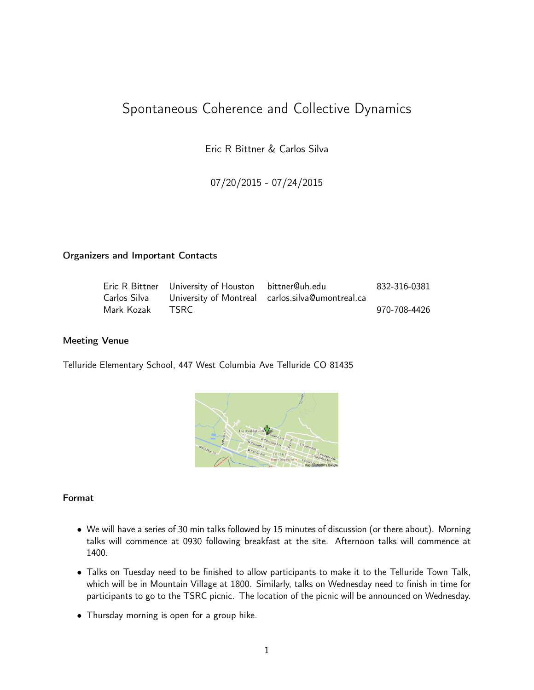# Spontaneous Coherence and Collective Dynamics

Eric R Bittner & Carlos Silva

07/20/2015 - 07/24/2015

#### Organizers and Important Contacts

|              | Eric R Bittner University of Houston bittner@uh.edu |                                                  | 832-316-0381 |
|--------------|-----------------------------------------------------|--------------------------------------------------|--------------|
| Carlos Silva |                                                     | University of Montreal carlos.silva@umontreal.ca |              |
| Mark Kozak   | TSRC -                                              |                                                  | 970-708-4426 |

#### Meeting Venue

Telluride Elementary School, 447 West Columbia Ave Telluride CO 81435



#### Format

- We will have a series of 30 min talks followed by 15 minutes of discussion (or there about). Morning talks will commence at 0930 following breakfast at the site. Afternoon talks will commence at 1400.
- Talks on Tuesday need to be finished to allow participants to make it to the Telluride Town Talk, which will be in Mountain Village at 1800. Similarly, talks on Wednesday need to finish in time for participants to go to the TSRC picnic. The location of the picnic will be announced on Wednesday.
- Thursday morning is open for a group hike.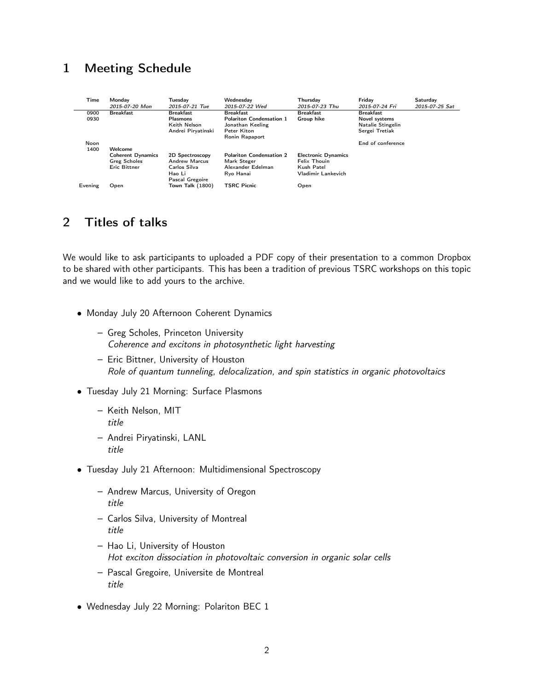## 1 Meeting Schedule

| Time         | Mondav<br>2015-07-20 Mon                                               | Tuesdav<br>2015-07-21 Tue                                                 | Wednesdav<br>2015-07-22 Wed                                                            | Thursdav<br>2015-07-23 Thu                               | Fridav<br>2015-07-24 Fri                                                 | Saturday<br>2015-07-25 Sat |
|--------------|------------------------------------------------------------------------|---------------------------------------------------------------------------|----------------------------------------------------------------------------------------|----------------------------------------------------------|--------------------------------------------------------------------------|----------------------------|
| 0900<br>0930 | <b>Breakfast</b>                                                       | <b>Breakfast</b><br><b>Plasmons</b><br>Keith Nelson<br>Andrei Piryatinski | <b>Breakfast</b><br><b>Polariton Condensation 1</b><br>Jonathan Keeling<br>Peter Kiton | <b>Breakfast</b><br>Group hike                           | <b>Breakfast</b><br>Novel systems<br>Natalie Stingelin<br>Sergei Tretiak |                            |
| Noon<br>1400 | Welcome                                                                |                                                                           | Ronin Rapaport                                                                         |                                                          | End of conference                                                        |                            |
|              | <b>Coherent Dynamics</b><br><b>Greg Scholes</b><br><b>Eric Bittner</b> | 2D Spectroscopy<br><b>Andrew Marcus</b><br>Carlos Silva                   | <b>Polariton Condensation 2</b><br>Mark Steger<br>Alexander Edelman                    | <b>Electronic Dynamics</b><br>Felix Thouin<br>Kush Patel |                                                                          |                            |
| Evening      | Open                                                                   | Hao Li<br>Pascal Gregoire<br>Town Talk (1800)                             | Rvo Hanai<br><b>TSRC Picnic</b>                                                        | Vladimir Lankevich<br>Open                               |                                                                          |                            |

# 2 Titles of talks

We would like to ask participants to uploaded a PDF copy of their presentation to a common Dropbox to be shared with other participants. This has been a tradition of previous TSRC workshops on this topic and we would like to add yours to the archive.

- Monday July 20 Afternoon Coherent Dynamics
	- Greg Scholes, Princeton University Coherence and excitons in photosynthetic light harvesting
	- Eric Bittner, University of Houston Role of quantum tunneling, delocalization, and spin statistics in organic photovoltaics
- Tuesday July 21 Morning: Surface Plasmons
	- Keith Nelson, MIT title
	- Andrei Piryatinski, LANL title
- Tuesday July 21 Afternoon: Multidimensional Spectroscopy
	- Andrew Marcus, University of Oregon title
	- Carlos Silva, University of Montreal title
	- Hao Li, University of Houston Hot exciton dissociation in photovoltaic conversion in organic solar cells
	- Pascal Gregoire, Universite de Montreal title
- Wednesday July 22 Morning: Polariton BEC 1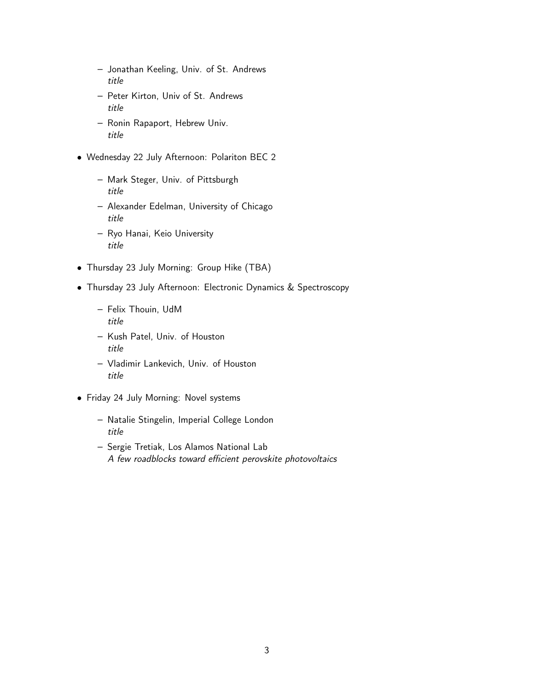- Jonathan Keeling, Univ. of St. Andrews title
- Peter Kirton, Univ of St. Andrews title
- Ronin Rapaport, Hebrew Univ. title
- Wednesday 22 July Afternoon: Polariton BEC 2
	- Mark Steger, Univ. of Pittsburgh title
	- Alexander Edelman, University of Chicago title
	- Ryo Hanai, Keio University title
- Thursday 23 July Morning: Group Hike (TBA)
- Thursday 23 July Afternoon: Electronic Dynamics & Spectroscopy
	- Felix Thouin, UdM title
	- Kush Patel, Univ. of Houston title
	- Vladimir Lankevich, Univ. of Houston title
- Friday 24 July Morning: Novel systems
	- Natalie Stingelin, Imperial College London title
	- Sergie Tretiak, Los Alamos National Lab A few roadblocks toward efficient perovskite photovoltaics